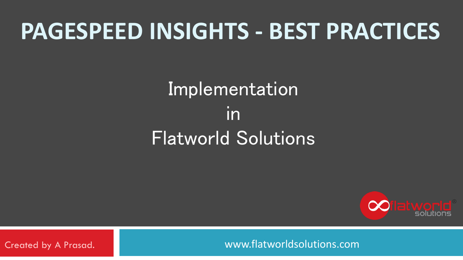### **PAGESPEED INSIGHTS - BEST PRACTICES**

#### Implementation in Flatworld Solutions



Created by A Prasad. www.flatworldsolutions.com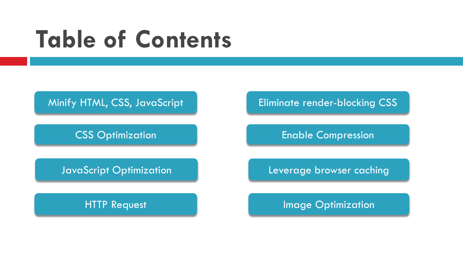## **Table of Contents**



CSS Optimization

#### JavaScript Optimization

HTTP Request

Eliminate render-blocking CSS

Enable Compression

Leverage browser caching

Image Optimization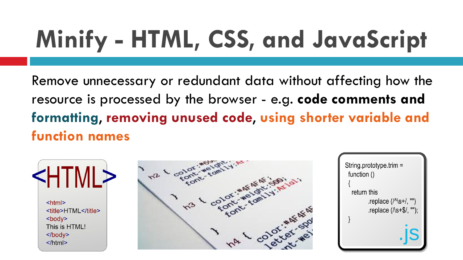## **Minify - HTML, CSS, and JavaScript**

Remove unnecessary or redundant data without affecting how the resource is processed by the browser - e.g. **code comments and formatting**, **removing unused code**, **using shorter variable and function names**





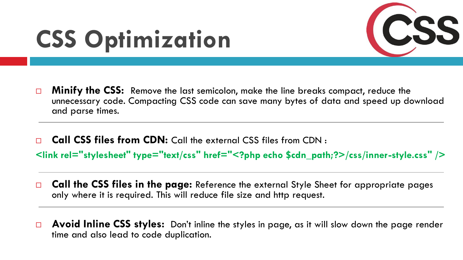## **CSS Optimization**



- **Minify the CSS:** Remove the last semicolon, make the line breaks compact, reduce the unnecessary code. Compacting CSS code can save many bytes of data and speed up download and parse times.
- **Call CSS files from CDN:** Call the external CSS files from CDN : **<link rel="stylesheet" type="text/css" href="<?php echo \$cdn\_path;?>/css/inner-style.css" />**
- **Call the CSS files in the page:** Reference the external Style Sheet for appropriate pages only where it is required. This will reduce file size and http request.
- **Avoid Inline CSS styles:** Don't inline the styles in page, as it will slow down the page render time and also lead to code duplication.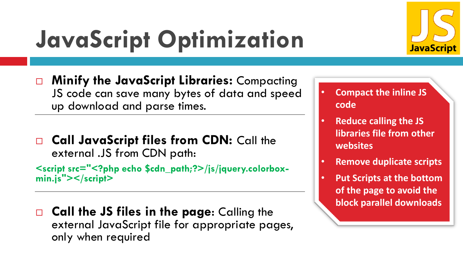

## **JavaScript Optimization**

- **Minify the JavaScript Libraries:** Compacting JS code can save many bytes of data and speed up download and parse times.
- **Call JavaScript files from CDN:** Call the external .JS from CDN path:

**<script src="<?php echo \$cdn\_path;?>/js/jquery.colorboxmin.js"></script>**

**Call the JS files in the page:** Calling the external JavaScript file for appropriate pages, only when required

- **Compact the inline JS code**
- **Reduce calling the JS libraries file from other websites**
- **Remove duplicate scripts**
- **Put Scripts at the bottom of the page to avoid the block parallel downloads**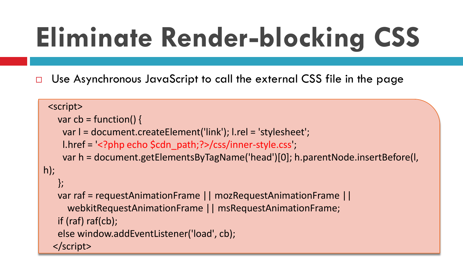# **Eliminate Render-blocking CSS**

□ Use Asynchronous JavaScript to call the external CSS file in the page

```
<script>
   var cb = function() {
    var l = document.createElement('link'); l.rel = 'stylesheet';
    l.href = <?php echo $cdn path;?>/css/inner-style.css';
    var h = document.getElementsByTagName('head')[0]; h.parentNode.insertBefore(l, 
h);
   };
   var raf = requestAnimationFrame || mozRequestAnimationFrame ||
     webkitRequestAnimationFrame || msRequestAnimationFrame;
   if (raf) raf(cb);
   else window.addEventListener('load', cb);
  </script>
```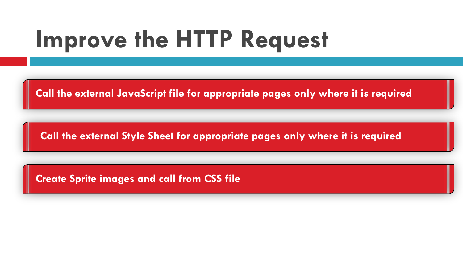## **Improve the HTTP Request**

**Call the external JavaScript file for appropriate pages only where it is required**

**Call the external Style Sheet for appropriate pages only where it is required**

**Create Sprite images and call from CSS file**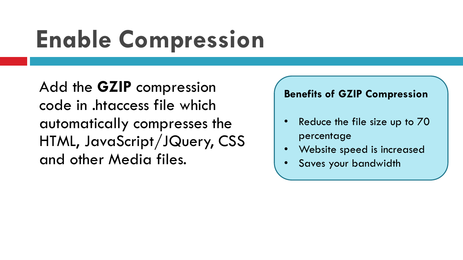## **Enable Compression**

Add the **GZIP** compression code in .htaccess file which automatically compresses the HTML, JavaScript/JQuery, CSS and other Media files.

#### **Benefits of GZIP Compression**

- Reduce the file size up to 70 percentage
- Website speed is increased
- Saves your bandwidth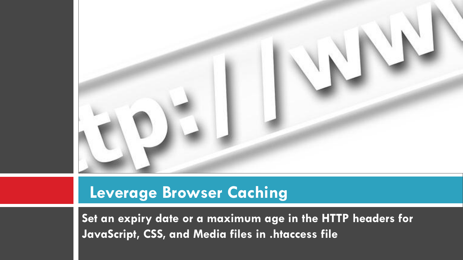

#### **Leverage Browser Caching**

**Set an expiry date or a maximum age in the HTTP headers for JavaScript, CSS, and Media files in .htaccess file**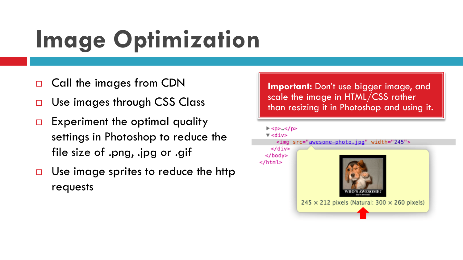## **Image Optimization**

- Call the images from CDN
- □ Use images through CSS Class
- $\Box$  Experiment the optimal quality settings in Photoshop to reduce the file size of .png, .jpg or .gif
- $\Box$  Use image sprites to reduce the http requests

**Important:** Don't use bigger image, and scale the image in HTML/CSS rather than resizing it in Photoshop and using it.